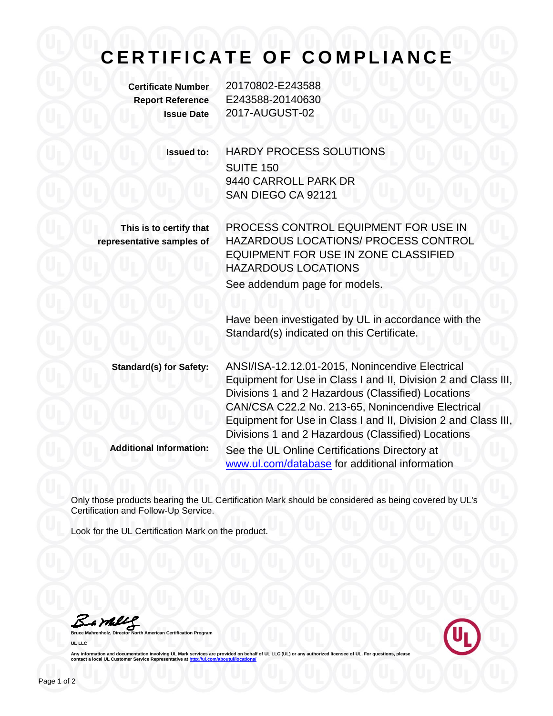## **C E R T I F I C A T E O F C O M P L I A N C E**

**Certificate Number** 20170802-E243588 **Report Reference** E243588-20140630 **Issue Date** 2017-AUGUST-02

**Issued to:** HARDY PROCESS SOLUTIONS SUITE 150 9440 CARROLL PARK DR SAN DIEGO CA 92121

**This is to certify that representative samples of**

PROCESS CONTROL EQUIPMENT FOR USE IN HAZARDOUS LOCATIONS/ PROCESS CONTROL EQUIPMENT FOR USE IN ZONE CLASSIFIED HAZARDOUS LOCATIONS See addendum page for models.

Have been investigated by UL in accordance with the Standard(s) indicated on this Certificate.

**Standard(s) for Safety:** ANSI/ISA-12.12.01-2015, Nonincendive Electrical Equipment for Use in Class I and II, Division 2 and Class III, Divisions 1 and 2 Hazardous (Classified) Locations CAN/CSA C22.2 No. 213-65, Nonincendive Electrical Equipment for Use in Class I and II, Division 2 and Class III, Divisions 1 and 2 Hazardous (Classified) Locations **Additional Information:** See the UL Online Certifications Directory at [www.ul.com/database](http://www.ul.com/database) for additional information

Only those products bearing the UL Certification Mark should be considered as being covered by UL's Certification and Follow-Up Service.

Look for the UL Certification Mark on the product.

Samley

**American Certification Program UL LLC**



Any information and documentation involving UL Mark services are provided on behalf of UL LLC (UL) or any authorized licensee of UL. For questions, please<br>contact a local UL Customer Service Representative at <u>http://ul.co</u>